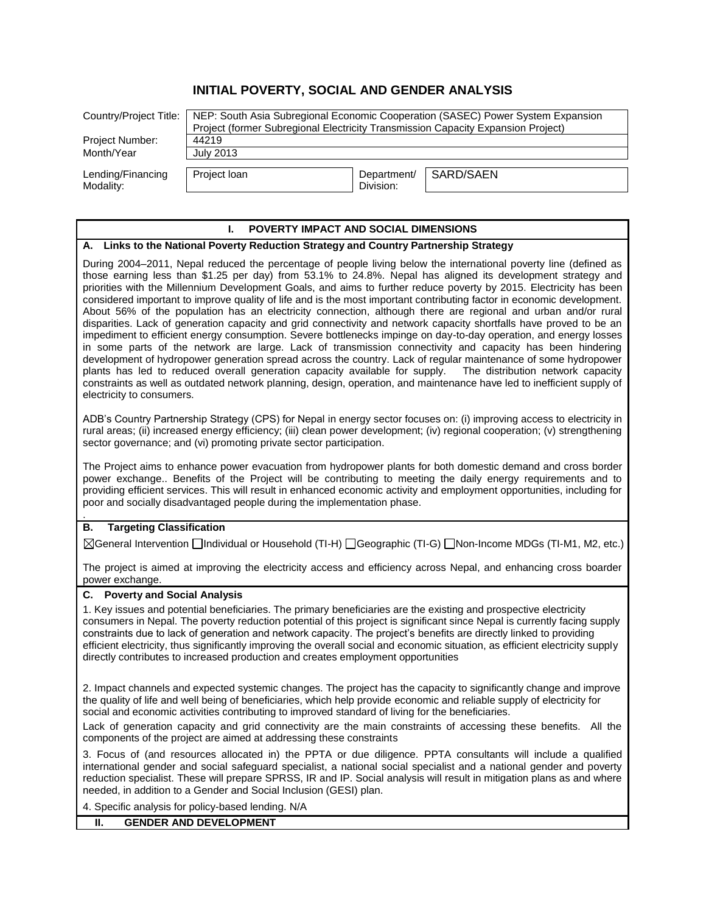# **INITIAL POVERTY, SOCIAL AND GENDER ANALYSIS**

| Country/Project Title:         | NEP: South Asia Subregional Economic Cooperation (SASEC) Power System Expansion<br>Project (former Subregional Electricity Transmission Capacity Expansion Project) |                          |           |
|--------------------------------|---------------------------------------------------------------------------------------------------------------------------------------------------------------------|--------------------------|-----------|
| Project Number:                | 44219                                                                                                                                                               |                          |           |
| Month/Year                     | July 2013                                                                                                                                                           |                          |           |
| Lending/Financing<br>Modality: | Project Ioan                                                                                                                                                        | Department/<br>Division: | SARD/SAEN |

#### **I. POVERTY IMPACT AND SOCIAL DIMENSIONS**

#### **A. Links to the National Poverty Reduction Strategy and Country Partnership Strategy**

During 2004–2011, Nepal reduced the percentage of people living below the international poverty line (defined as those earning less than \$1.25 per day) from 53.1% to 24.8%. Nepal has aligned its development strategy and priorities with the Millennium Development Goals, and aims to further reduce poverty by 2015. Electricity has been considered important to improve quality of life and is the most important contributing factor in economic development. About 56% of the population has an electricity connection, although there are regional and urban and/or rural disparities. Lack of generation capacity and grid connectivity and network capacity shortfalls have proved to be an impediment to efficient energy consumption. Severe bottlenecks impinge on day-to-day operation, and energy losses in some parts of the network are large. Lack of transmission connectivity and capacity has been hindering development of hydropower generation spread across the country. Lack of regular maintenance of some hydropower plants has led to reduced overall generation capacity available for supply. The distribution network capacity constraints as well as outdated network planning, design, operation, and maintenance have led to inefficient supply of electricity to consumers.

ADB's Country Partnership Strategy (CPS) for Nepal in energy sector focuses on: (i) improving access to electricity in rural areas; (ii) increased energy efficiency; (iii) clean power development; (iv) regional cooperation; (v) strengthening sector governance; and (vi) promoting private sector participation.

The Project aims to enhance power evacuation from hydropower plants for both domestic demand and cross border power exchange.. Benefits of the Project will be contributing to meeting the daily energy requirements and to providing efficient services. This will result in enhanced economic activity and employment opportunities, including for poor and socially disadvantaged people during the implementation phase.

## **B. Targeting Classification**

.

General Intervention Individual or Household (TI-H) Geographic (TI-G) Non-Income MDGs (TI-M1, M2, etc.)

The project is aimed at improving the electricity access and efficiency across Nepal, and enhancing cross boarder power exchange.

## **C. Poverty and Social Analysis**

1. Key issues and potential beneficiaries. The primary beneficiaries are the existing and prospective electricity consumers in Nepal. The poverty reduction potential of this project is significant since Nepal is currently facing supply constraints due to lack of generation and network capacity. The project's benefits are directly linked to providing efficient electricity, thus significantly improving the overall social and economic situation, as efficient electricity supply directly contributes to increased production and creates employment opportunities

2. Impact channels and expected systemic changes. The project has the capacity to significantly change and improve the quality of life and well being of beneficiaries, which help provide economic and reliable supply of electricity for social and economic activities contributing to improved standard of living for the beneficiaries.

Lack of generation capacity and grid connectivity are the main constraints of accessing these benefits. All the components of the project are aimed at addressing these constraints

3. Focus of (and resources allocated in) the PPTA or due diligence. PPTA consultants will include a qualified international gender and social safeguard specialist, a national social specialist and a national gender and poverty reduction specialist. These will prepare SPRSS, IR and IP. Social analysis will result in mitigation plans as and where needed, in addition to a Gender and Social Inclusion (GESI) plan.

4. Specific analysis for policy-based lending. N/A

## **II. GENDER AND DEVELOPMENT**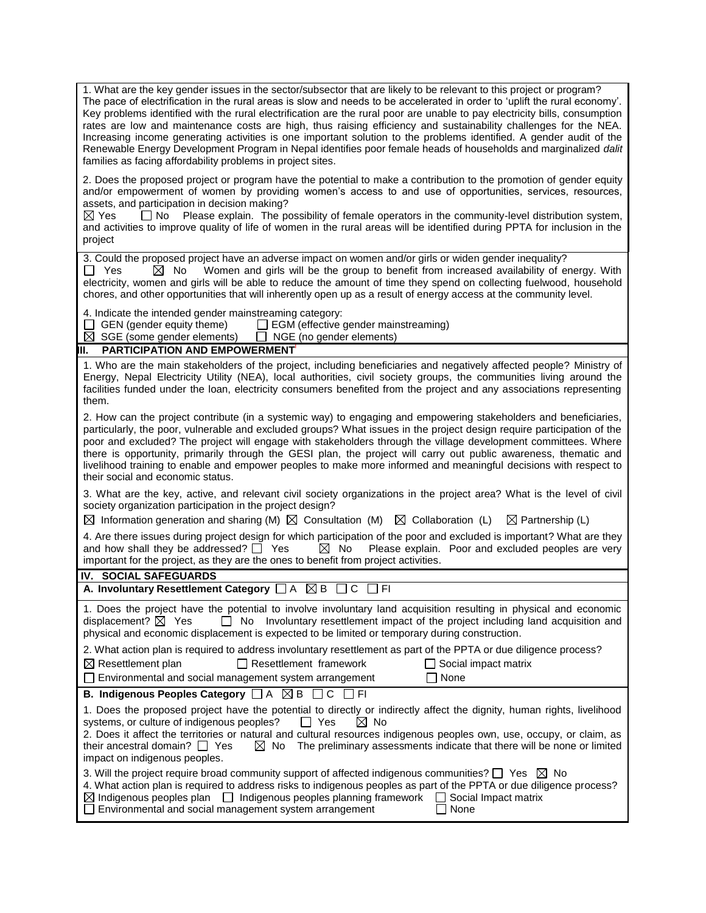| 1. What are the key gender issues in the sector/subsector that are likely to be relevant to this project or program?<br>The pace of electrification in the rural areas is slow and needs to be accelerated in order to 'uplift the rural economy'.<br>Key problems identified with the rural electrification are the rural poor are unable to pay electricity bills, consumption<br>rates are low and maintenance costs are high, thus raising efficiency and sustainability challenges for the NEA.<br>Increasing income generating activities is one important solution to the problems identified. A gender audit of the<br>Renewable Energy Development Program in Nepal identifies poor female heads of households and marginalized dalit<br>families as facing affordability problems in project sites. |  |  |  |
|---------------------------------------------------------------------------------------------------------------------------------------------------------------------------------------------------------------------------------------------------------------------------------------------------------------------------------------------------------------------------------------------------------------------------------------------------------------------------------------------------------------------------------------------------------------------------------------------------------------------------------------------------------------------------------------------------------------------------------------------------------------------------------------------------------------|--|--|--|
| 2. Does the proposed project or program have the potential to make a contribution to the promotion of gender equity<br>and/or empowerment of women by providing women's access to and use of opportunities, services, resources,<br>assets, and participation in decision making?<br>$\boxtimes$ Yes<br>□ No Please explain. The possibility of female operators in the community-level distribution system,<br>and activities to improve quality of life of women in the rural areas will be identified during PPTA for inclusion in the<br>project                                                                                                                                                                                                                                                          |  |  |  |
| 3. Could the proposed project have an adverse impact on women and/or girls or widen gender inequality?<br>Women and girls will be the group to benefit from increased availability of energy. With<br>$\Box$ Yes<br>$\bowtie$<br>No<br>electricity, women and girls will be able to reduce the amount of time they spend on collecting fuelwood, household<br>chores, and other opportunities that will inherently open up as a result of energy access at the community level.                                                                                                                                                                                                                                                                                                                               |  |  |  |
| 4. Indicate the intended gender mainstreaming category:<br>GEN (gender equity theme) $\Box$ EGM (effective gender mainstreaming)<br>$\boxtimes$ SGE (some gender elements)<br>NGE (no gender elements)<br>$\mathcal{L}$                                                                                                                                                                                                                                                                                                                                                                                                                                                                                                                                                                                       |  |  |  |
| <b>PARTICIPATION AND EMPOWERMENT</b><br>Ш.                                                                                                                                                                                                                                                                                                                                                                                                                                                                                                                                                                                                                                                                                                                                                                    |  |  |  |
| 1. Who are the main stakeholders of the project, including beneficiaries and negatively affected people? Ministry of<br>Energy, Nepal Electricity Utility (NEA), local authorities, civil society groups, the communities living around the<br>facilities funded under the loan, electricity consumers benefited from the project and any associations representing<br>them.                                                                                                                                                                                                                                                                                                                                                                                                                                  |  |  |  |
| 2. How can the project contribute (in a systemic way) to engaging and empowering stakeholders and beneficiaries,<br>particularly, the poor, vulnerable and excluded groups? What issues in the project design require participation of the<br>poor and excluded? The project will engage with stakeholders through the village development committees. Where<br>there is opportunity, primarily through the GESI plan, the project will carry out public awareness, thematic and<br>livelihood training to enable and empower peoples to make more informed and meaningful decisions with respect to<br>their social and economic status.                                                                                                                                                                     |  |  |  |
| 3. What are the key, active, and relevant civil society organizations in the project area? What is the level of civil<br>society organization participation in the project design?<br>$\boxtimes$ Information generation and sharing (M) $\boxtimes$ Consultation (M) $\boxtimes$ Collaboration (L)<br>$\boxtimes$ Partnership (L)                                                                                                                                                                                                                                                                                                                                                                                                                                                                            |  |  |  |
| 4. Are there issues during project design for which participation of the poor and excluded is important? What are they<br>$\boxtimes$ No<br>and how shall they be addressed? $\Box$ Yes<br>Please explain. Poor and excluded peoples are very<br>important for the project, as they are the ones to benefit from project activities.                                                                                                                                                                                                                                                                                                                                                                                                                                                                          |  |  |  |
| IV. SOCIAL SAFEGUARDS                                                                                                                                                                                                                                                                                                                                                                                                                                                                                                                                                                                                                                                                                                                                                                                         |  |  |  |
| A. Involuntary Resettlement Category $\Box A \boxtimes B \Box C$<br>FΙ                                                                                                                                                                                                                                                                                                                                                                                                                                                                                                                                                                                                                                                                                                                                        |  |  |  |
| 1. Does the project have the potential to involve involuntary land acquisition resulting in physical and economic<br>displacement? $\boxtimes$ Yes<br>Involuntary resettlement impact of the project including land acquisition and<br>No<br>$\mathsf{L}$<br>physical and economic displacement is expected to be limited or temporary during construction.                                                                                                                                                                                                                                                                                                                                                                                                                                                   |  |  |  |
| 2. What action plan is required to address involuntary resettlement as part of the PPTA or due diligence process?<br>$\boxtimes$ Resettlement plan<br>$\Box$ Resettlement framework<br>Social impact matrix<br>None<br>Environmental and social management system arrangement                                                                                                                                                                                                                                                                                                                                                                                                                                                                                                                                 |  |  |  |
| B. Indigenous Peoples Category $\Box A \boxtimes B \Box C$<br>∏ FI                                                                                                                                                                                                                                                                                                                                                                                                                                                                                                                                                                                                                                                                                                                                            |  |  |  |
| 1. Does the proposed project have the potential to directly or indirectly affect the dignity, human rights, livelihood<br>systems, or culture of indigenous peoples?<br>$\Box$ Yes<br>$\boxtimes$ No<br>2. Does it affect the territories or natural and cultural resources indigenous peoples own, use, occupy, or claim, as<br>The preliminary assessments indicate that there will be none or limited<br>their ancestral domain? $\Box$ Yes<br>$\boxtimes$ No<br>impact on indigenous peoples.                                                                                                                                                                                                                                                                                                             |  |  |  |
| 3. Will the project require broad community support of affected indigenous communities? $\square$ Yes $\boxtimes$ No<br>4. What action plan is required to address risks to indigenous peoples as part of the PPTA or due diligence process?<br>$\boxtimes$ Indigenous peoples plan $\quad \Box$ Indigenous peoples planning framework<br>Social Impact matrix<br>$\mathbf{1}$<br>Environmental and social management system arrangement<br>None                                                                                                                                                                                                                                                                                                                                                              |  |  |  |